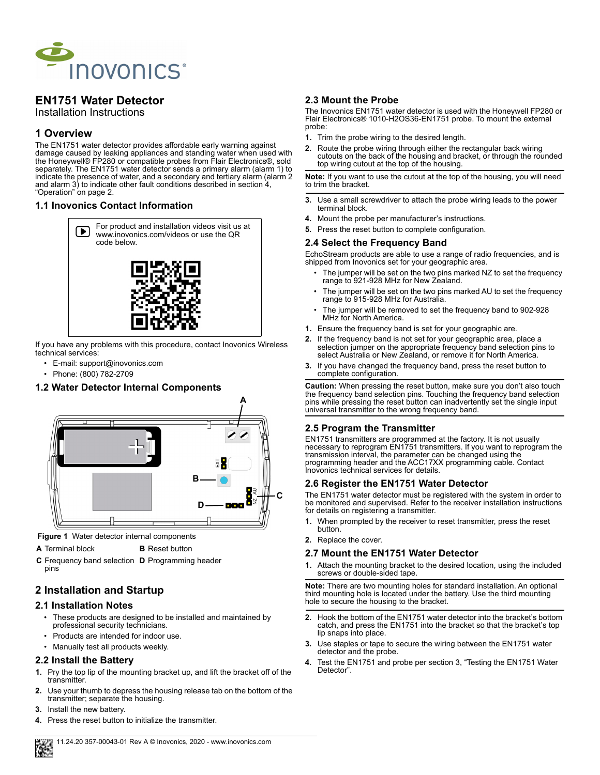

# **EN1751 Water Detector**

Installation Instructions

### **1 Overview**

The EN1751 water detector provides affordable early warning against damage caused by leaking appliances and standing water when used with the Honeywell® FP280 or compatible probes from Flair Electronics®, sold separately. The EN1751 water detector sends a primary alarm (alarm 1) to indicate the presence of water, and a secondary and tertiary alarm (alarm 2 and alarm 3) to indicate other fault conditions described in section 4, "Operation" on page 2.

#### **1.1 Inovonics Contact Information**



If you have any problems with this procedure, contact Inovonics Wireless technical services:

- E-mail: support@inovonics.com
- Phone: (800) 782-2709

### **1.2 Water Detector Internal Components**



 **Figure 1** Water detector internal components

**A** Terminal block **B** Reset button

**C** Frequency band selection **D** Programming header pins

## **2 Installation and Startup**

### **2.1 Installation Notes**

- These products are designed to be installed and maintained by professional security technicians.
- Products are intended for indoor use.
- Manually test all products weekly.

#### **2.2 Install the Battery**

- **1.** Pry the top lip of the mounting bracket up, and lift the bracket off of the transmitter.
- **2.** Use your thumb to depress the housing release tab on the bottom of the transmitter; separate the housing.
- **3.** Install the new battery.
- **4.** Press the reset button to initialize the transmitter.

### **2.3 Mount the Probe**

The Inovonics EN1751 water detector is used with the Honeywell FP280 or Flair Electronics® 1010-H2OS36-EN1751 probe. To mount the external probe:

- **1.** Trim the probe wiring to the desired length.
- **2.** Route the probe wiring through either the rectangular back wiring cutouts on the back of the housing and bracket, or through the rounded<br>top wiring cutout at the top of the housing.

**Note:** If you want to use the cutout at the top of the housing, you will need to trim the bracket.

- **3.** Use a small screwdriver to attach the probe wiring leads to the power terminal block.
- **4.** Mount the probe per manufacturer's instructions.
- **5.** Press the reset button to complete configuration.

#### **2.4 Select the Frequency Band**

EchoStream products are able to use a range of radio frequencies, and is shipped from Inovonics set for your geographic area.

- The jumper will be set on the two pins marked NZ to set the frequency range to 921-928 MHz for New Zealand.
- The jumper will be set on the two pins marked AU to set the frequency range to 915-928 MHz for Australia.
- The jumper will be removed to set the frequency band to 902-928 MHz for North America.
- **1.** Ensure the frequency band is set for your geographic are.
- **2.** If the frequency band is not set for your geographic area, place a selection jumper on the appropriate frequency band selection pins to select Australia or New Zealand, or remove it for North America.
- **3.** If you have changed the frequency band, press the reset button to complete configuration.

**Caution:** When pressing the reset button, make sure you don't also touch the frequency band selection pins. Touching the frequency band selection pins while pressing the reset button can inadvertently set the single input universal transmitter to the wrong frequency band.

### **2.5 Program the Transmitter**

EN1751 transmitters are programmed at the factory. It is not usually necessary to reprogram EN1751 transmitters. If you want to reprogram the transmission interval, the parameter can be changed using the programming header and the ACC17XX programming cable. Contact Inovonics technical services for details.

#### **2.6 Register the EN1751 Water Detector**

The EN1751 water detector must be registered with the system in order to be monitored and supervised. Refer to the receiver installation instructions for details on registering a transmitter.

- **1.** When prompted by the receiver to reset transmitter, press the reset button.
- **2.** Replace the cover.

### **2.7 Mount the EN1751 Water Detector**

**1.** Attach the mounting bracket to the desired location, using the included screws or double-sided tape.

**Note:** There are two mounting holes for standard installation. An optional third mounting hole is located under the battery. Use the third mounting hole to secure the housing to the bracket.

- **2.** Hook the bottom of the EN1751 water detector into the bracket's bottom catch, and press the EN1751 into the bracket so that the bracket's top lip snaps into place.
- **3.** Use staples or tape to secure the wiring between the EN1751 water detector and the probe.
- **4.** Test the EN1751 and probe per section 3, "Testing the EN1751 Water Detector".